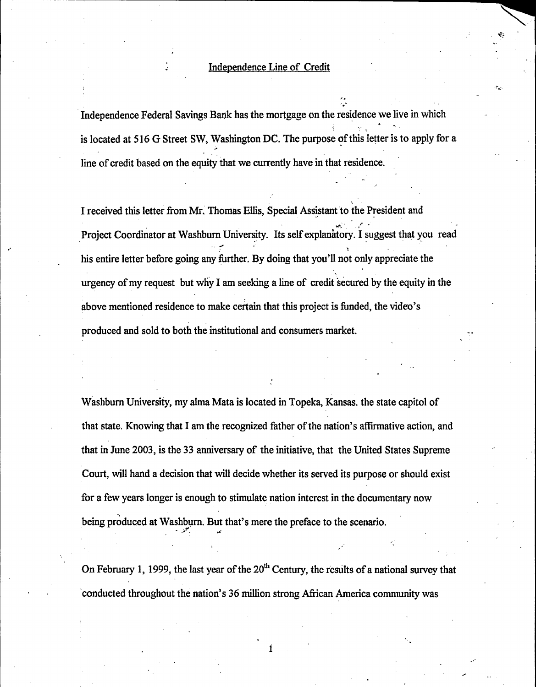'• .....

Independence Federal Savings Bank has the mortgage on the residence we live in which is located at 516 G Street SW, Washington DC. The purpose of this letter is to apply for a line of credit based on the equity that we currently have in that residence.

I received this letter from Mr. Thomas Ellis, Special Assistant to the President and . ,..,...'!... *,-r* . Project Coordinator at Washburn University. Its self explanatory. I suggest that you read - '. *':'* , his entire letter before going any further. By doing that you'll not only appreciate the urgency of my request but why I am seeking a line of credit secured by the equity in the above mentioned residence to make certain that this project is funded, the video's produced and sold to both the institutional and consumers market.

"

Washburn University, my alma Mata is located in Topeka, Kansas. the state capitol of that state. Knowing that I am the recognized father of the nation's affirmative action, and that in June 2003, is the 33 anniversary of the initiative, that the United States Supreme Court, will hand a decision that will decide whether its served its purpose or should exist for a few years longer is enough to stimulate nation interest in the documentary now being produced at Washburn. But that's mere the preface to the scenario.

On February 1, 1999, the last year of the  $20<sup>th</sup>$  Century, the results of a national survey that conducted throughout the nation's 36 million strong African America community was

1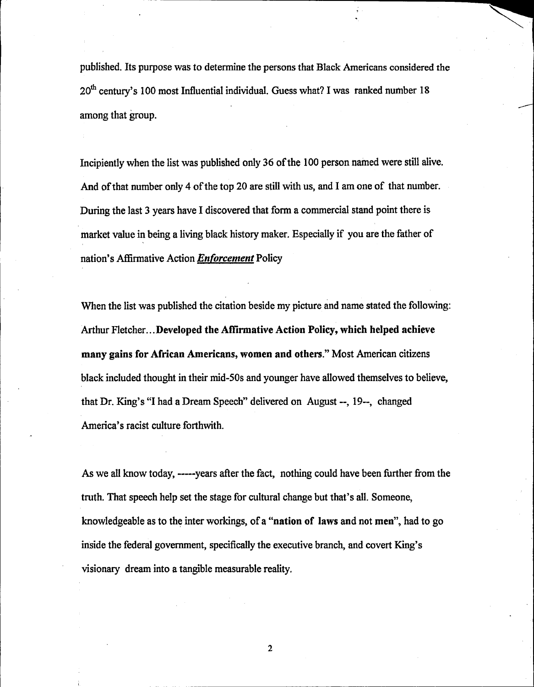published. Its purpose was to determine the persons that Black Americans considered the  $20<sup>th</sup>$  century's 100 most Influential individual. Guess what? I was ranked number 18 among that group.

Incipiently when the list was published only 36 of the 100 person named were still alive. And of that number only 4 of the top 20 are still with us, and I am one of that number. During the last 3 years have I discovered that form a commercial stand point there is market value in being a living black history maker. Especially if you are the father of nation's Affirmative Action *Enforcement* Policy

When the list was published the citation beside my picture and name stated the following: Arthur Fletcher...Developed the Affirmative Action Policy, which helped achieve many gains for African Americans, women and others." Most American citizens black included thought in their mid-50s and younger have allowed themselves to believe, that Dr. King's "I had a Dream Speech" delivered on August--, 19--, changed America's racist culture forthwith.

As we all know today, -----years after the fact, nothing could have been further from the truth. That speech help set the stage for cultural change but that's all. Someone, knowledgeable as to the inter workings, of a "nation of laws and not men", had to go inside the federal government, specifically the executive branch, and covert King's visionary dream into a tangible measurable reality.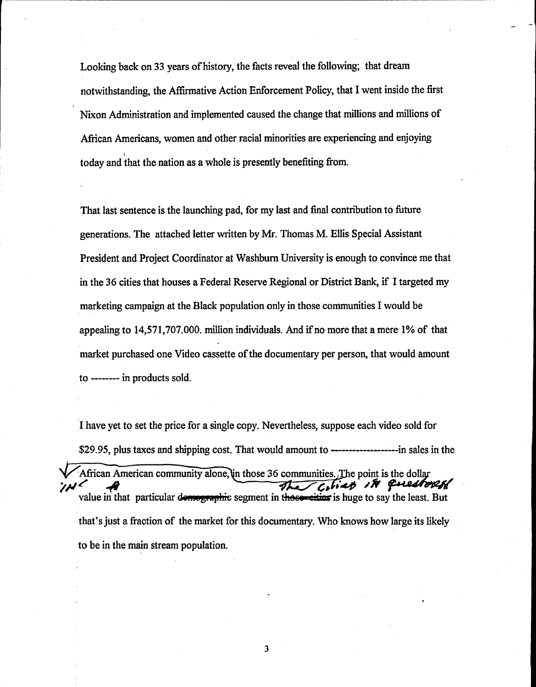Looking back on 33 years of history, the facts reveal the following; that dream notwithstanding, the Affirmative Action Enforcement Policy, that I went inside the first Nixon Administration and implemented caused the change that millions and millions of African Americans, women and other racial minorities are experiencing and enjoying \ today and that the nation as a whole is presently benefiting from.

------------------------------------------

That last sentence is the launching pad, for my last and final contribution to future generations. The attached letter written by Mr. Thomas M. Ellis Special Assistant President and Project Coordinator at Washburn University is enough to convince me that in the 36 cities that houses a Federal Reserve Regional or District Bank, if I targeted my marketing campaign at the Black population only in those communities I would be appealing to 14,571,707.000. million individuals. And if no more that a mere 1% of that market purchased one Video cassette of the documentary per person, that would amount to -------- in products sold.

I have yet to set the price for a single copy. Nevertheless, suppose each video sold for \$29.95, plus taxes and shipping cost. That would amount to -----·-----------in sales in the African American community alone, un those 36 communities. The point is the dollar The Cities in questored value in that particular demographic segment in these cities is huge to say the least. But that's just a fraction of the market for this documentary. Who knows how large its likely to be in the main stream population.

3